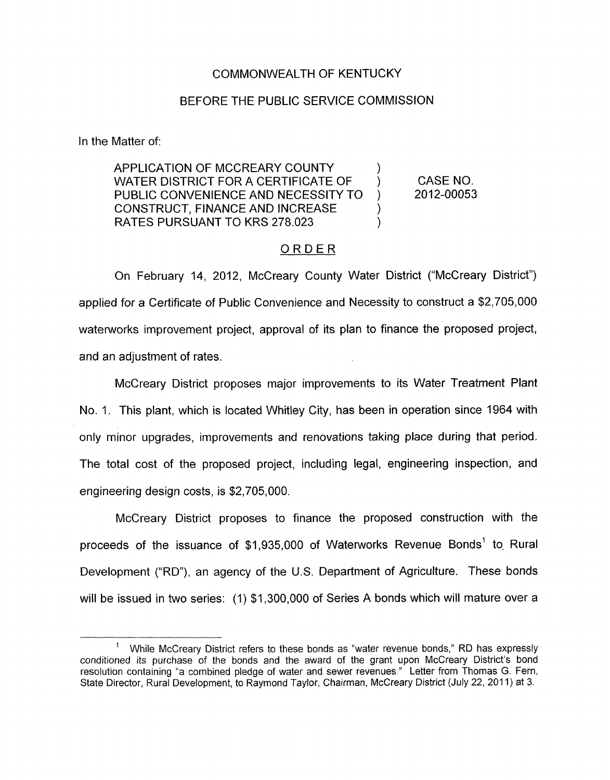### COMMONWEALTH OF KENTUCKY

### BEFORE THE PUBLIC SERVICE COMMISSION

In the Matter of:

APPLICATION OF MCCREARY COUNTY WATER DISTRICT FOR A CERTIFICATE OF  $\qquad$  ) CASE NO.<br>PUBLIC CONVENIENCE AND NECESSITY TO  $\qquad$  2012-00053 PUBLIC CONVENIENCE AND NECESSITY TO ) CONSTRUCT, FINANCE AND INCREASE RATES PURSUANT TO KRS 278,023

## ORDER

On February 14, 2012, McCreary County Water District ("McCreary District") applied for a Certificate of Public Convenience and Necessity to construct a \$2,705,000 waterworks improvement project, approval of its plan to finance the proposed project, and an adjustment of rates.

McCreary District proposes major improvements to its Water Treatment Plant No. 1. This plant, which is located Whitley City, has been in operation since 1964 with only minor upgrades, improvements and renovations taking place during that period. The total cost of the proposed project, including legal, engineering inspection, and engineering design costs, is \$2,705,000.

McCreary District proposes to finance the proposed construction with the proceeds of the issuance of \$1,935,000 of Waterworks Revenue Bonds' to, Rural Development ("RD"), an agency of the U.S. Department of Agriculture. These bonds will be issued in two series: (1) \$1,300,000 of Series A bonds which will mature over a

While McCreary District refers to these bonds as "water revenue bonds," RD has expressly conditioned its purchase of the bonds and the award of the grant upon McCreary District's bond resolution containing "a combined pledge of water and sewer revenues." Letter from Thomas *G.* Fern, State Director, Rural Development, to Raymond Taylor, Chairman, McCreary District (July 22, 2011) at 3. **1**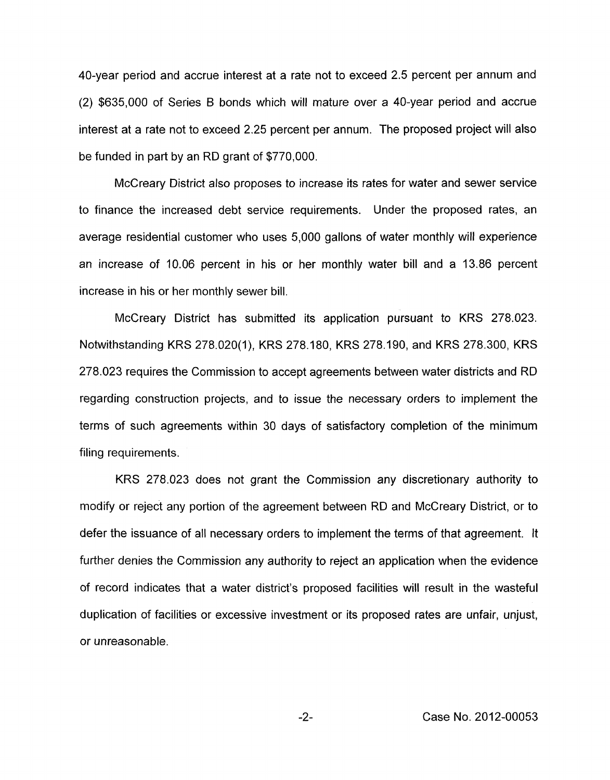40-year period and accrue interest at a rate not to exceed 2.5 percent per annum and (2) \$635,000 of Series **B** bonds which will mature over a 40-year period and accrue interest at a rate not to exceed 2.25 percent per annum. The proposed project will also be funded in part by an RD grant of \$770,000.

McCreary District also proposes to increase its rates for water and sewer service to finance the increased debt service requirements. Under the proposed rates, an average residential customer who uses 5,000 gallons of water monthly will experience an increase *of* 10.06 percent in his or her monthly water bill and a 13.86 percent increase in his or her monthly sewer bill.

McCreary District has submitted its application pursuant to KRS 278.023. Notwithstanding KRS 278.020(1), KRS 278.180, KRS 278.190, and KRS 278.300, KRS 278.023 requires the Commission to accept agreements between water districts and RD regarding construction projects, and to issue the necessary orders to implement the terms of such agreements within 30 days of satisfactory completion of the minimum filing requirements.

KRS 278.023 does not grant the Commission any discretionary authority to modify or reject any portion of the agreement between RD and McCreary District, or to defer the issuance of all necessary orders to implement the terms of that agreement. It further denies the Commission any authority to reject an application when the evidence of record indicates that a water district's proposed facilities will result in the wasteful duplication of facilities or excessive investment or its proposed rates are unfair, unjust, or unreasonable.

-2- Case No. 2012-00053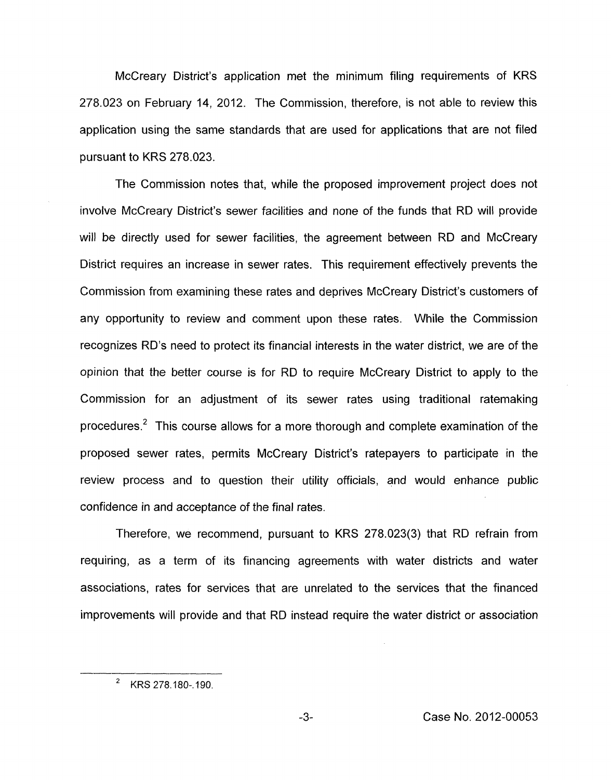McCreary District's application met the minimum filing requirements of KRS 278.023 on February 14, 2012. The Commission, therefore, is not able to review this application using the same standards that are used for applications that are not filed pursuant to KRS 278.023.

The Commission notes that, while the proposed improvement project does not involve McCreary District's sewer facilities and none of the funds that RD will provide will be directly used for sewer facilities, the agreement between RD and McCreary District requires an increase in sewer rates. This requirement effectively prevents the Commission from examining these rates and deprives McCreary District's customers of any opportunity to review and comment upon these rates. While the Commission recognizes RD's need to protect its financial interests in the water district, we are of the opinion that the better course is for RD to require McCreary District to apply to the Commission for an adjustment of its sewer rates using traditional ratemaking procedures.<sup>2</sup> This course allows for a more thorough and complete examination of the proposed sewer rates, permits McCreary District's ratepayers to participate in the review process and to question their utility officials, and would enhance public confidence in and acceptance of the final rates.

Therefore, we recommend, pursuant to KRS 278.023(3) that RD refrain from requiring, as a term of its financing agreements with water districts and water associations, rates for services that are unrelated to the services that the financed improvements will provide and that RD instead require the water district or association

<sup>&</sup>lt;sup>2</sup> KRS 278.180-.190.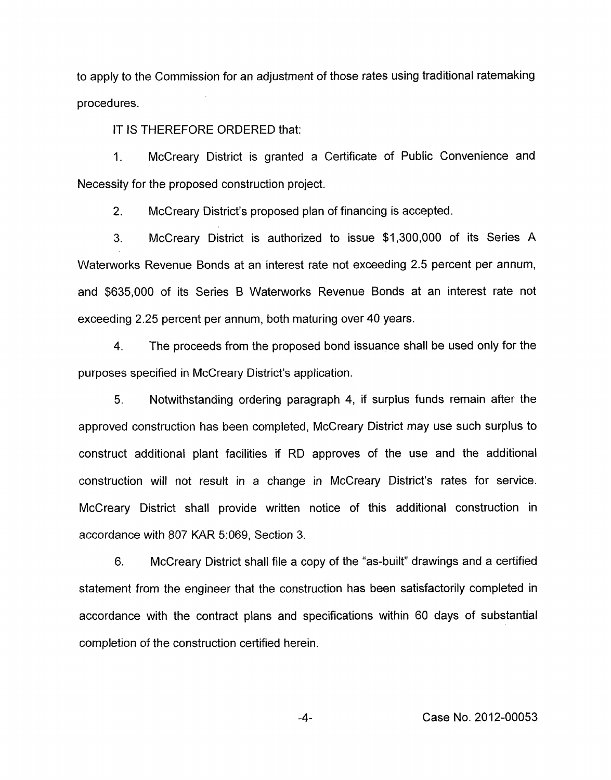to apply to the Commission for an adjustment of those rates using traditional ratemaking procedures.

IT IS THEREFORE ORDERED that:

1. McCreary District is granted a Certificate of Public Convenience and Necessity for the proposed construction project.

2. McCreary District's proposed plan of financing is accepted.

3. McCreary District is authorized to issue \$1,300,000 of its Series A Waterworks Revenue Bonds at an interest rate not exceeding 2.5 percent per annum, and \$635,000 of its Series B Waterworks Revenue Bonds at an interest rate not exceeding 2.25 percent per annum, both maturing over 40 years.

**4.** The proceeds from the proposed bond issuance shall be used only for the purposes specified in McCreary District's application.

5. Notwithstanding ordering paragraph **4,** if surplus funds remain after the approved construction has been completed, McCreary District may use such surplus to construct additional plant facilities if RD approves of the use and the additional construction will not result in a change in McCreary District's rates for service. McCreary District shall provide written notice of this additional construction in accordance with 807 KAR 5:069, Section 3.

6. McCreary District shall file a copy of the "as-built" drawings and a certified statement from the engineer that the construction has been satisfactorily completed in accordance with the contract plans and specifications within 60 days of substantial completion of the construction certified herein.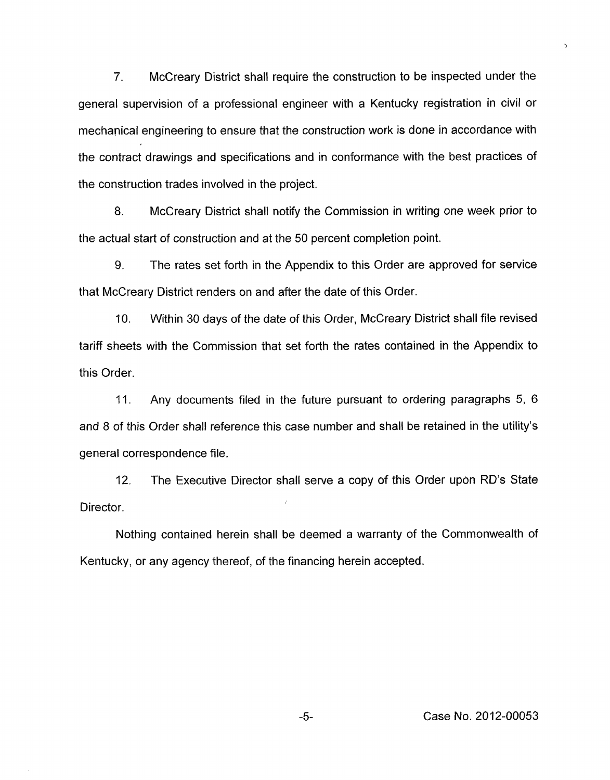7. McCreary District shall require the construction to be inspected under the general supervision of a professional engineer with a Kentucky registration in civil or mechanical engineering to ensure that the construction work **is** done in accordance with the contract drawings and specifications and in conformance with the best practices of the construction trades involved in the project.

**8.** McCreary District shall notify the Commission in writing one week prior to the actual start of construction and at the 50 percent completion point.

9. The rates set forth in the Appendix to this Order are approved for service that McCreary District renders on and after the date of this Order.

**IO.** Within 30 days of the date of this Order, McCreary District shall file revised tariff sheets with the Commission that set forth the rates contained in the Appendix to this Order.

**11.** Any documents filed in the future pursuant to ordering paragraphs 5, 6 and 8 of this Order shall reference this case number and shall be retained in the utility's general correspondence file.

12. The Executive Director shall serve a copy of this Order upon RD's State Director.

Nothing contained herein shall be deemed a warranty of the Commonwealth of Kentucky, or any agency thereof, of the financing herein accepted.

 $\overline{ }$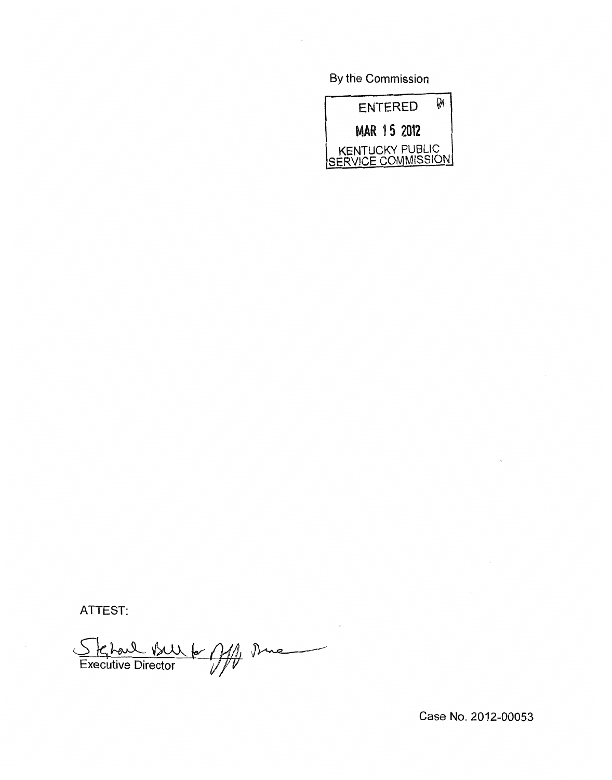By the Commission



ATTEST:

Skhoul Bull for My Dine

 $\bar{z}$ 

Case No. 2012-00053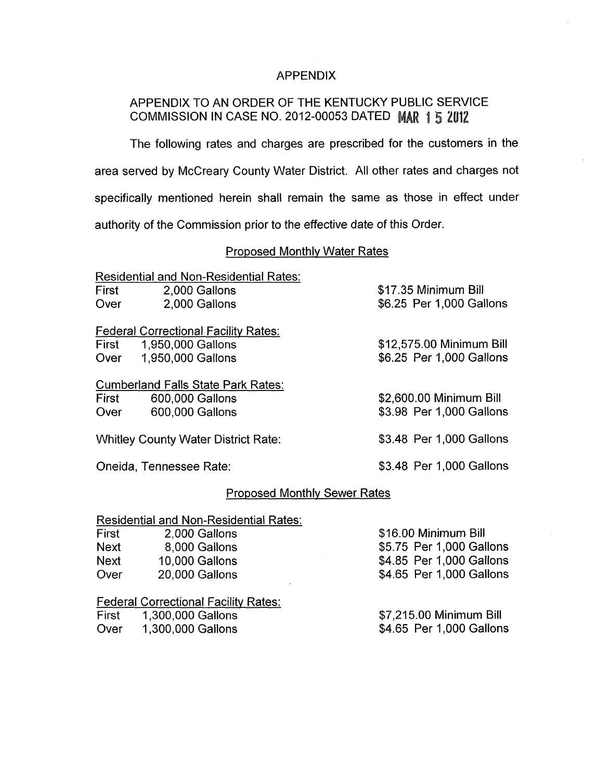## APPENDIX

# APPENDIX TO AN ORDER OF THE KENTUCKY PUBLIC SERVICE COMMISSION IN CASE NO. 2012-00053 DATED MAR 1 5 2012

The following rates and charges are prescribed for the customers in the area served by McCreary County Water District. All other rates and charges not specifically mentioned herein shall remain the same as those in effect under authority of the Commission prior to the effective date *of* this Order.

### Proposed MonthIV Water Rates

|                                            | <b>Residential and Non-Residential Rates:</b> |                          |
|--------------------------------------------|-----------------------------------------------|--------------------------|
| First                                      | 2,000 Gallons                                 | \$17.35 Minimum Bill     |
| Over                                       | 2,000 Gallons                                 | \$6.25 Per 1,000 Gallons |
|                                            | <b>Federal Correctional Facility Rates:</b>   |                          |
|                                            | First 1,950,000 Gallons                       | \$12,575.00 Minimum Bill |
| Over                                       | 1,950,000 Gallons                             | \$6.25 Per 1,000 Gallons |
|                                            | <b>Cumberland Falls State Park Rates:</b>     |                          |
| First                                      | 600,000 Gallons                               | \$2,600.00 Minimum Bill  |
| Over                                       | 600,000 Gallons                               | \$3.98 Per 1,000 Gallons |
| <b>Whitley County Water District Rate:</b> |                                               | \$3.48 Per 1,000 Gallons |
|                                            | Oneida, Tennessee Rate:                       | \$3.48 Per 1,000 Gallons |

### Proposed Monthlv Sewer Rates

### Residential and Non-Residential Rates:

| First | 2,000 Gallons  | \$16.00 Minimum Bill     |
|-------|----------------|--------------------------|
| Next  | 8,000 Gallons  | \$5.75 Per 1,000 Gallons |
| Next  | 10,000 Gallons | \$4.85 Per 1,000 Gallons |
| Over  | 20,000 Gallons | \$4.65 Per 1,000 Gallons |
|       |                |                          |

### Federal Correctional Facility Rates:

| First | 1,300,000 Gallons | \$7,215.00 Minimum Bill  |
|-------|-------------------|--------------------------|
| Over  | 1,300,000 Gallons | \$4.65 Per 1,000 Gallons |